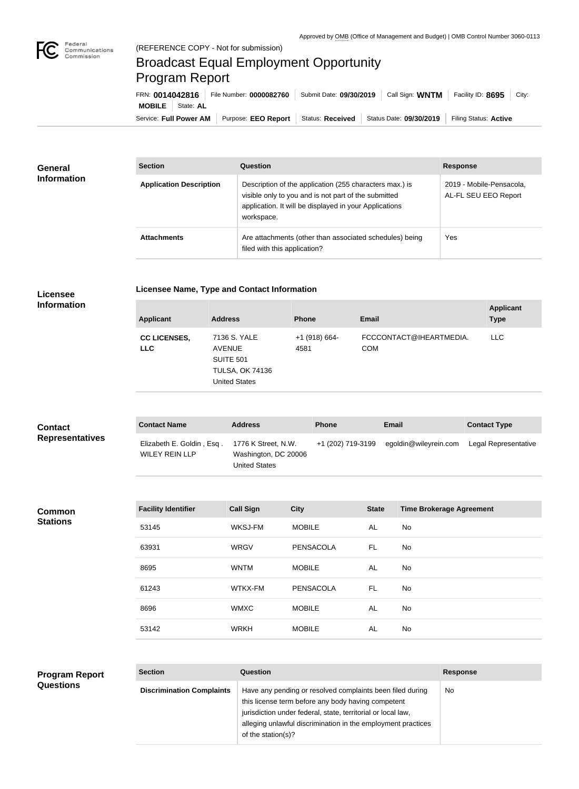

## Broadcast Equal Employment Opportunity Program Report

Service: Full Power AM | Purpose: EEO Report | Status: Received | Status Date: 09/30/2019 | Filing Status: Active **MOBILE** State: **AL** FRN: **0014042816** File Number: **0000082760** Submit Date: **09/30/2019** Call Sign: **WNTM** Facility ID: **8695** City:

| <b>General</b><br><b>Information</b> | <b>Section</b>                 | Question                                                                                                                                                                                | <b>Response</b>                                  |
|--------------------------------------|--------------------------------|-----------------------------------------------------------------------------------------------------------------------------------------------------------------------------------------|--------------------------------------------------|
|                                      | <b>Application Description</b> | Description of the application (255 characters max.) is<br>visible only to you and is not part of the submitted<br>application. It will be displayed in your Applications<br>workspace. | 2019 - Mobile-Pensacola,<br>AL-FL SEU EEO Report |
|                                      | <b>Attachments</b>             | Are attachments (other than associated schedules) being<br>filed with this application?                                                                                                 | Yes                                              |

| <b>Licensee</b>        |  |
|------------------------|--|
| the formation of the c |  |

**Licensee Name, Type and Contact Information**

**Information**

| <b>Applicant</b>                  | <b>Address</b>                                                                                      | <b>Phone</b>            | Email                                 | <b>Applicant</b><br><b>Type</b> |
|-----------------------------------|-----------------------------------------------------------------------------------------------------|-------------------------|---------------------------------------|---------------------------------|
| <b>CC LICENSES,</b><br><b>LLC</b> | 7136 S. YALE<br><b>AVENUE</b><br><b>SUITE 501</b><br><b>TULSA, OK 74136</b><br><b>United States</b> | $+1$ (918) 664-<br>4581 | FCCCONTACT@IHEARTMEDIA.<br><b>COM</b> | <b>LLC</b>                      |

| <b>Contact</b>         | <b>Contact Name</b>                                | <b>Address</b>                                                      | <b>Phone</b>      | Email                 | <b>Contact Type</b>  |
|------------------------|----------------------------------------------------|---------------------------------------------------------------------|-------------------|-----------------------|----------------------|
| <b>Representatives</b> | Elizabeth E. Goldin, Esq.<br><b>WILEY REIN LLP</b> | 1776 K Street, N.W.<br>Washington, DC 20006<br><b>United States</b> | +1 (202) 719-3199 | egoldin@wileyrein.com | Legal Representative |

**Common Stations**

| <b>Facility Identifier</b> | <b>Call Sign</b> | <b>City</b>   | <b>State</b> | <b>Time Brokerage Agreement</b> |
|----------------------------|------------------|---------------|--------------|---------------------------------|
| 53145                      | WKSJ-FM          | <b>MOBILE</b> | AL           | <b>No</b>                       |
| 63931                      | <b>WRGV</b>      | PENSACOLA     | FL.          | <b>No</b>                       |
| 8695                       | <b>WNTM</b>      | <b>MOBILE</b> | AL           | <b>No</b>                       |
| 61243                      | WTKX-FM          | PENSACOLA     | FL.          | <b>No</b>                       |
| 8696                       | <b>WMXC</b>      | <b>MOBILE</b> | AL           | <b>No</b>                       |
| 53142                      | <b>WRKH</b>      | <b>MOBILE</b> | AL           | <b>No</b>                       |

| <b>Program Report</b> |
|-----------------------|
| <b>Questions</b>      |

| <b>Section</b>                   | Question                                                                                                                                                                                                                                                              | <b>Response</b> |
|----------------------------------|-----------------------------------------------------------------------------------------------------------------------------------------------------------------------------------------------------------------------------------------------------------------------|-----------------|
| <b>Discrimination Complaints</b> | Have any pending or resolved complaints been filed during<br>this license term before any body having competent<br>jurisdiction under federal, state, territorial or local law,<br>alleging unlawful discrimination in the employment practices<br>of the station(s)? | No.             |